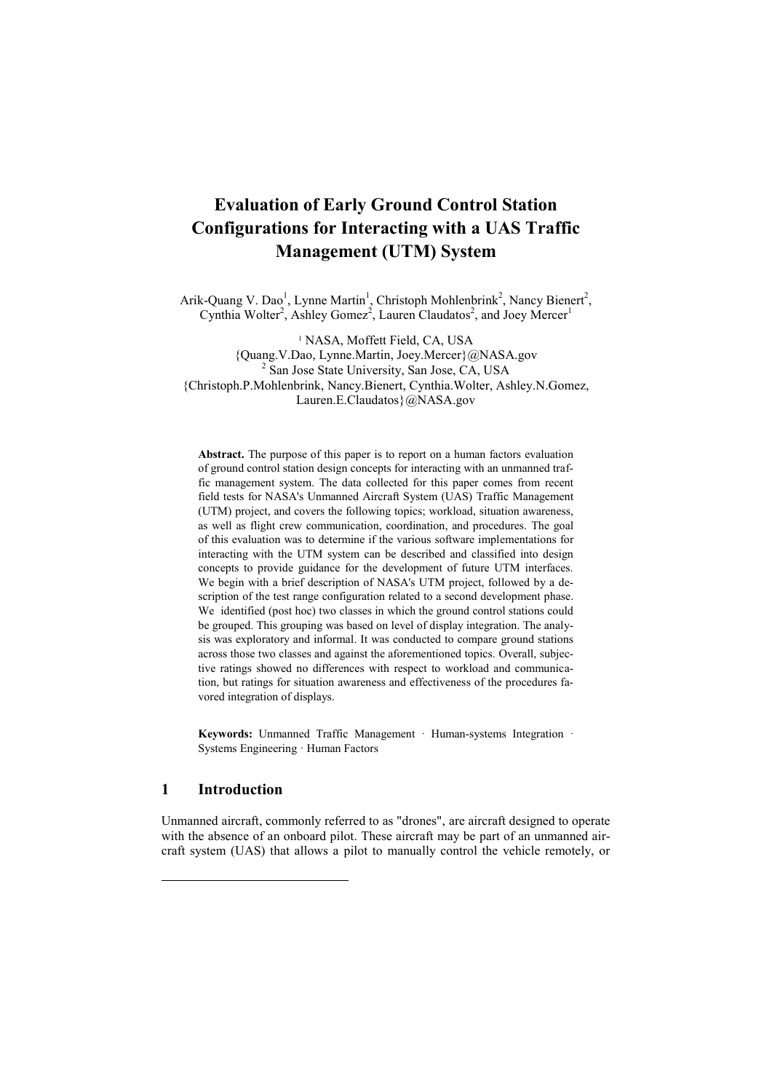# **Evaluation of Early Ground Control Station Configurations for Interacting with a UAS Traffic Management (UTM) System**

Arik-Quang V. Dao<sup>1</sup>, Lynne Martin<sup>1</sup>, Christoph Mohlenbrink<sup>2</sup>, Nancy Bienert<sup>2</sup>, Cynthia Wolter<sup>2</sup>, Ashley Gomez<sup>2</sup>, Lauren Claudatos<sup>2</sup>, and Joey Mercer<sup>1</sup>

<sup>1</sup> NASA, Moffett Field, CA, USA {Quang.V.Dao, Lynne.Martin, Joey.Mercer}@NASA.gov <sup>2</sup> San Jose State University, San Jose, CA, USA {Christoph.P.Mohlenbrink, Nancy.Bienert, Cynthia.Wolter, Ashley.N.Gomez, Lauren.E.Claudatos}@NASA.gov

**Abstract.** The purpose of this paper is to report on a human factors evaluation of ground control station design concepts for interacting with an unmanned traffic management system. The data collected for this paper comes from recent field tests for NASA's Unmanned Aircraft System (UAS) Traffic Management (UTM) project, and covers the following topics; workload, situation awareness, as well as flight crew communication, coordination, and procedures. The goal of this evaluation was to determine if the various software implementations for interacting with the UTM system can be described and classified into design concepts to provide guidance for the development of future UTM interfaces. We begin with a brief description of NASA's UTM project, followed by a description of the test range configuration related to a second development phase. We identified (post hoc) two classes in which the ground control stations could be grouped. This grouping was based on level of display integration. The analysis was exploratory and informal. It was conducted to compare ground stations across those two classes and against the aforementioned topics. Overall, subjective ratings showed no differences with respect to workload and communication, but ratings for situation awareness and effectiveness of the procedures favored integration of displays.

**Keywords:** Unmanned Traffic Management · Human-systems Integration · Systems Engineering · Human Factors

# **1 Introduction**

-

Unmanned aircraft, commonly referred to as "drones", are aircraft designed to operate with the absence of an onboard pilot. These aircraft may be part of an unmanned aircraft system (UAS) that allows a pilot to manually control the vehicle remotely, or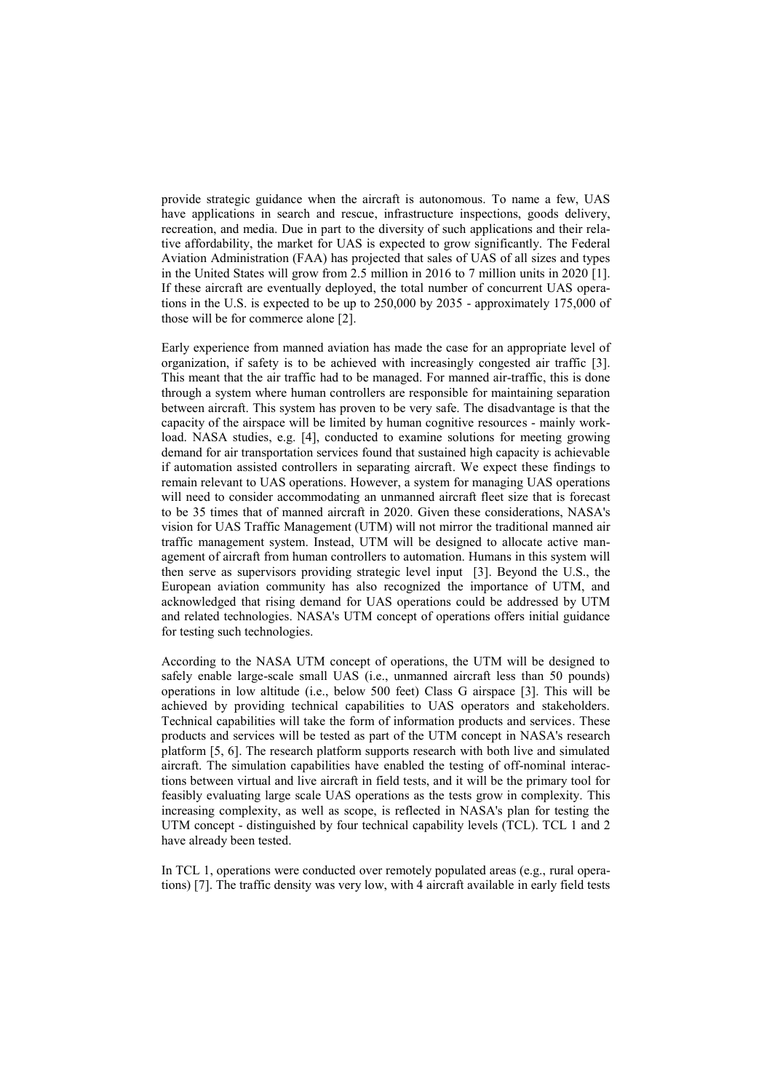provide strategic guidance when the aircraft is autonomous. To name a few, UAS have applications in search and rescue, infrastructure inspections, goods delivery, recreation, and media. Due in part to the diversity of such applications and their relative affordability, the market for UAS is expected to grow significantly. The Federal Aviation Administration (FAA) has projected that sales of UAS of all sizes and types in the United States will grow from 2.5 million in 2016 to 7 million units in 2020 [1]. If these aircraft are eventually deployed, the total number of concurrent UAS operations in the U.S. is expected to be up to 250,000 by 2035 - approximately 175,000 of those will be for commerce alone [2].

Early experience from manned aviation has made the case for an appropriate level of organization, if safety is to be achieved with increasingly congested air traffic [3]. This meant that the air traffic had to be managed. For manned air-traffic, this is done through a system where human controllers are responsible for maintaining separation between aircraft. This system has proven to be very safe. The disadvantage is that the capacity of the airspace will be limited by human cognitive resources - mainly workload. NASA studies, e.g. [4], conducted to examine solutions for meeting growing demand for air transportation services found that sustained high capacity is achievable if automation assisted controllers in separating aircraft. We expect these findings to remain relevant to UAS operations. However, a system for managing UAS operations will need to consider accommodating an unmanned aircraft fleet size that is forecast to be 35 times that of manned aircraft in 2020. Given these considerations, NASA's vision for UAS Traffic Management (UTM) will not mirror the traditional manned air traffic management system. Instead, UTM will be designed to allocate active management of aircraft from human controllers to automation. Humans in this system will then serve as supervisors providing strategic level input [3]. Beyond the U.S., the European aviation community has also recognized the importance of UTM, and acknowledged that rising demand for UAS operations could be addressed by UTM and related technologies. NASA's UTM concept of operations offers initial guidance for testing such technologies.

According to the NASA UTM concept of operations, the UTM will be designed to safely enable large-scale small UAS (i.e., unmanned aircraft less than 50 pounds) operations in low altitude (i.e., below 500 feet) Class G airspace [3]. This will be achieved by providing technical capabilities to UAS operators and stakeholders. Technical capabilities will take the form of information products and services. These products and services will be tested as part of the UTM concept in NASA's research platform [5, 6]. The research platform supports research with both live and simulated aircraft. The simulation capabilities have enabled the testing of off-nominal interactions between virtual and live aircraft in field tests, and it will be the primary tool for feasibly evaluating large scale UAS operations as the tests grow in complexity. This increasing complexity, as well as scope, is reflected in NASA's plan for testing the UTM concept - distinguished by four technical capability levels (TCL). TCL 1 and 2 have already been tested.

In TCL 1, operations were conducted over remotely populated areas (e.g., rural operations) [7]. The traffic density was very low, with 4 aircraft available in early field tests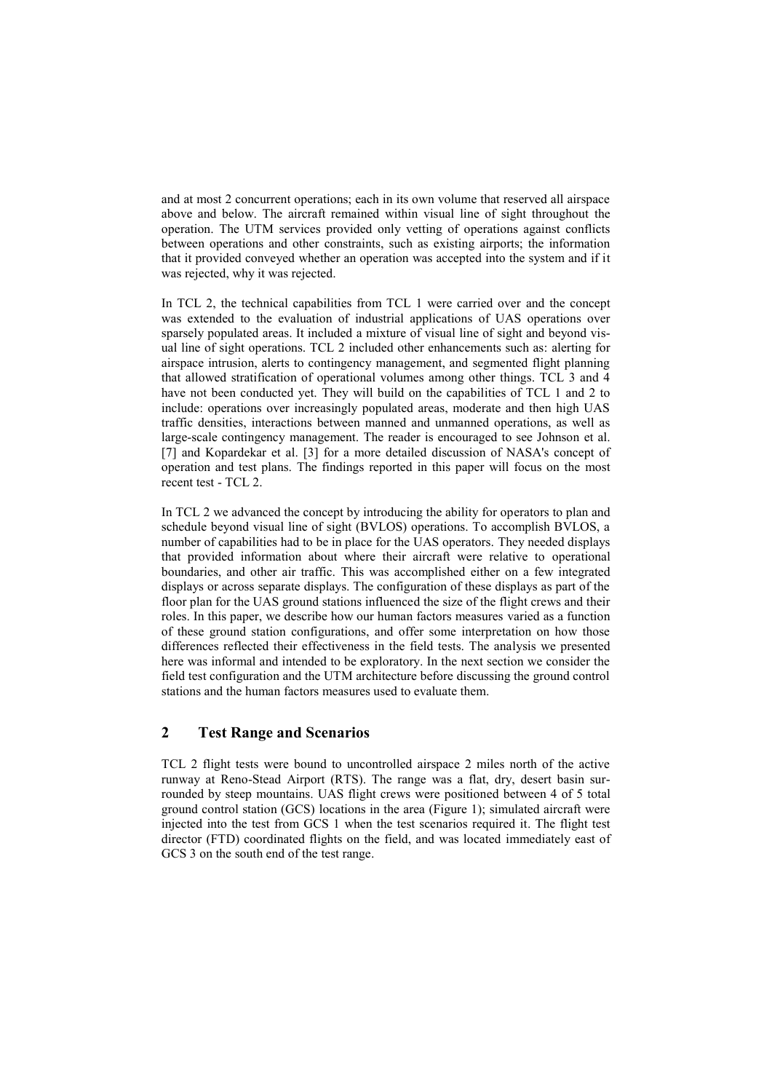and at most 2 concurrent operations; each in its own volume that reserved all airspace above and below. The aircraft remained within visual line of sight throughout the operation. The UTM services provided only vetting of operations against conflicts between operations and other constraints, such as existing airports; the information that it provided conveyed whether an operation was accepted into the system and if it was rejected, why it was rejected.

In TCL 2, the technical capabilities from TCL 1 were carried over and the concept was extended to the evaluation of industrial applications of UAS operations over sparsely populated areas. It included a mixture of visual line of sight and beyond visual line of sight operations. TCL 2 included other enhancements such as: alerting for airspace intrusion, alerts to contingency management, and segmented flight planning that allowed stratification of operational volumes among other things. TCL 3 and 4 have not been conducted yet. They will build on the capabilities of TCL 1 and 2 to include: operations over increasingly populated areas, moderate and then high UAS traffic densities, interactions between manned and unmanned operations, as well as large-scale contingency management. The reader is encouraged to see Johnson et al. [7] and Kopardekar et al. [3] for a more detailed discussion of NASA's concept of operation and test plans. The findings reported in this paper will focus on the most recent test - TCL 2.

In TCL 2 we advanced the concept by introducing the ability for operators to plan and schedule beyond visual line of sight (BVLOS) operations. To accomplish BVLOS, a number of capabilities had to be in place for the UAS operators. They needed displays that provided information about where their aircraft were relative to operational boundaries, and other air traffic. This was accomplished either on a few integrated displays or across separate displays. The configuration of these displays as part of the floor plan for the UAS ground stations influenced the size of the flight crews and their roles. In this paper, we describe how our human factors measures varied as a function of these ground station configurations, and offer some interpretation on how those differences reflected their effectiveness in the field tests. The analysis we presented here was informal and intended to be exploratory. In the next section we consider the field test configuration and the UTM architecture before discussing the ground control stations and the human factors measures used to evaluate them.

# **2 Test Range and Scenarios**

TCL 2 flight tests were bound to uncontrolled airspace 2 miles north of the active runway at Reno-Stead Airport (RTS). The range was a flat, dry, desert basin surrounded by steep mountains. UAS flight crews were positioned between 4 of 5 total ground control station (GCS) locations in the area (Figure 1); simulated aircraft were injected into the test from GCS 1 when the test scenarios required it. The flight test director (FTD) coordinated flights on the field, and was located immediately east of GCS 3 on the south end of the test range.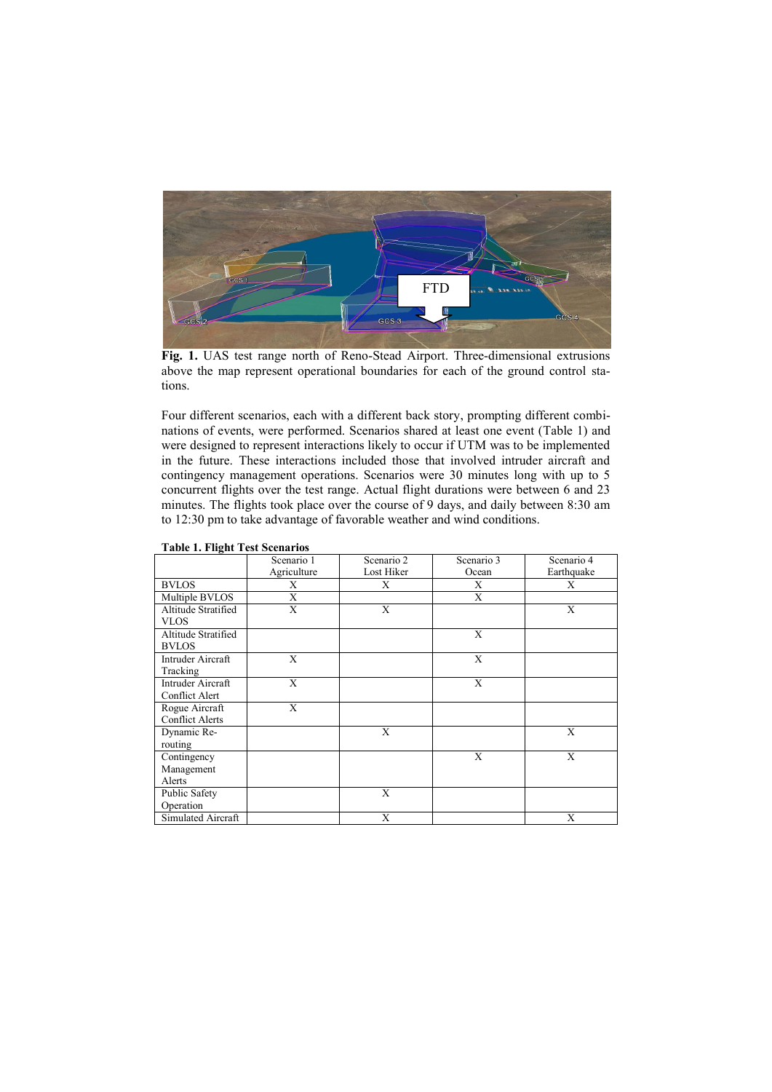

**Fig. 1.** UAS test range north of Reno-Stead Airport. Three-dimensional extrusions above the map represent operational boundaries for each of the ground control stations.

Four different scenarios, each with a different back story, prompting different combinations of events, were performed. Scenarios shared at least one event [\(Table 1\)](#page-3-0) and were designed to represent interactions likely to occur if UTM was to be implemented in the future. These interactions included those that involved intruder aircraft and contingency management operations. Scenarios were 30 minutes long with up to 5 concurrent flights over the test range. Actual flight durations were between 6 and 23 minutes. The flights took place over the course of 9 days, and daily between 8:30 am to 12:30 pm to take advantage of favorable weather and wind conditions.

|                                          | Scenario 1  | Scenario 2 | Scenario 3 | Scenario 4   |  |  |  |  |  |  |  |  |
|------------------------------------------|-------------|------------|------------|--------------|--|--|--|--|--|--|--|--|
|                                          | Agriculture | Lost Hiker | Ocean      | Earthquake   |  |  |  |  |  |  |  |  |
| <b>BVLOS</b>                             | X           | X          | X          | X            |  |  |  |  |  |  |  |  |
| Multiple BVLOS                           | X           |            | X          |              |  |  |  |  |  |  |  |  |
| Altitude Stratified<br><b>VLOS</b>       | $\mathbf x$ | X          |            | X            |  |  |  |  |  |  |  |  |
| Altitude Stratified<br><b>BVLOS</b>      |             |            | X          |              |  |  |  |  |  |  |  |  |
| Intruder Aircraft<br>Tracking            | X           |            | X          |              |  |  |  |  |  |  |  |  |
| Intruder Aircraft<br>Conflict Alert      | $\mathbf x$ |            | X          |              |  |  |  |  |  |  |  |  |
| Rogue Aircraft<br><b>Conflict Alerts</b> | X           |            |            |              |  |  |  |  |  |  |  |  |
| Dynamic Re-<br>routing                   |             | X          |            | X            |  |  |  |  |  |  |  |  |
| Contingency<br>Management<br>Alerts      |             |            | X          | X            |  |  |  |  |  |  |  |  |
| Public Safety<br>Operation               |             | X          |            |              |  |  |  |  |  |  |  |  |
| Simulated Aircraft                       |             | X          |            | $\mathbf{X}$ |  |  |  |  |  |  |  |  |

<span id="page-3-0"></span>**Table 1. Flight Test Scenarios**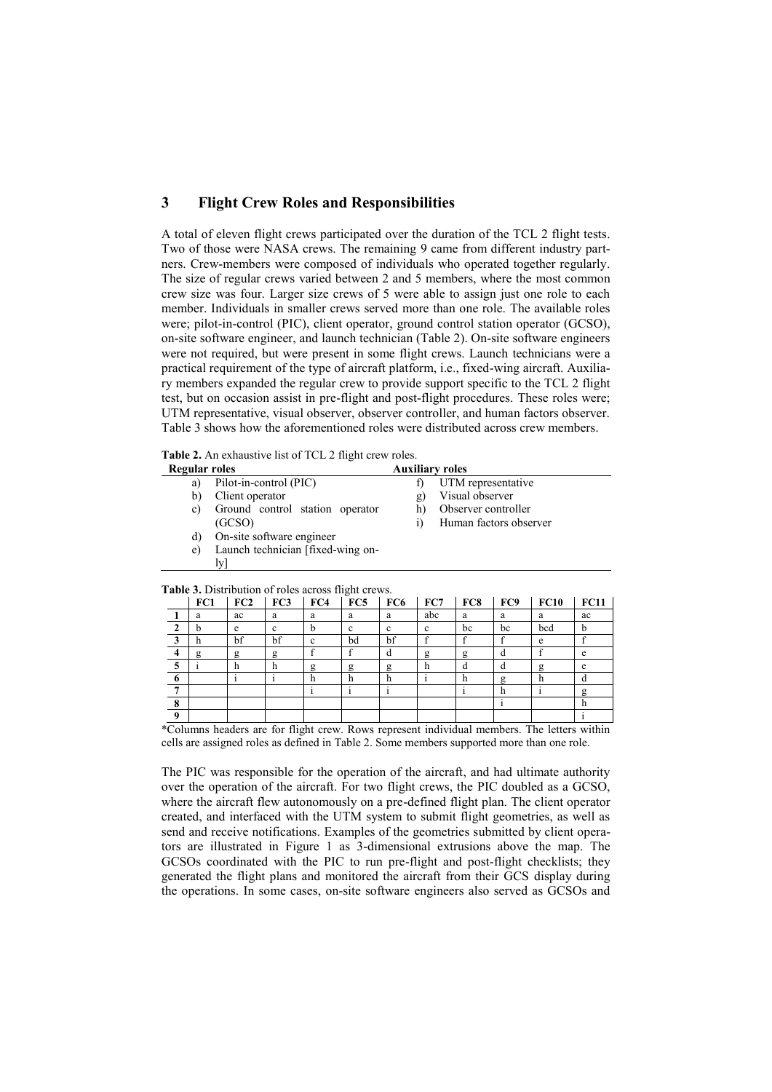# **3 Flight Crew Roles and Responsibilities**

A total of eleven flight crews participated over the duration of the TCL 2 flight tests. Two of those were NASA crews. The remaining 9 came from different industry partners. Crew-members were composed of individuals who operated together regularly. The size of regular crews varied between 2 and 5 members, where the most common crew size was four. Larger size crews of 5 were able to assign just one role to each member. Individuals in smaller crews served more than one role. The available roles were; pilot-in-control (PIC), client operator, ground control station operator (GCSO), on-site software engineer, and launch technician [\(Table 2\)](#page-4-0). On-site software engineers were not required, but were present in some flight crews. Launch technicians were a practical requirement of the type of aircraft platform, i.e., fixed-wing aircraft. Auxiliary members expanded the regular crew to provide support specific to the TCL 2 flight test, but on occasion assist in pre-flight and post-flight procedures. These roles were; UTM representative, visual observer, observer controller, and human factors observer. [Table 3](#page-4-1) shows how the aforementioned roles were distributed across crew members.

<span id="page-4-0"></span>

#### **Regular roles Auxiliary roles**

- a) Pilot-in-control (PIC)
- b) Client operator
- c) Ground control station operator (GCSO)

f) UTM representative g) Visual observer h) Observer controller

- i) Human factors observer
- d) On-site software engineer
- e) Launch technician [fixed-wing only]

|                                                                                             | FC1 | FC <sub>2</sub> | FC3 | FC4 | FC5 | FC6 | FC7 | FC8 | FC9 | FC10 | <b>FC11</b> |
|---------------------------------------------------------------------------------------------|-----|-----------------|-----|-----|-----|-----|-----|-----|-----|------|-------------|
|                                                                                             | a   | ac              | a   | a   | a   | a   | abc | a   | a   | a    | ac          |
|                                                                                             | h   | e               | c   | h   | с   | c   | c   | bc  | bc  | bcd  | h           |
|                                                                                             | h   | bf              | bf  | с   | bd  | bf  |     |     |     | e    |             |
| 4                                                                                           | g   | g               | g   |     |     | đ   | g   | g   | d   |      | e           |
| 5                                                                                           |     | h               | h   | g   | g   | g   | h   | d   | d   | g    | e           |
| 6                                                                                           |     |                 |     | h   |     | h   |     | h   | g   |      | d           |
| -                                                                                           |     |                 |     |     |     |     |     |     | h   |      | g           |
| 8                                                                                           |     |                 |     |     |     |     |     |     |     |      | h           |
| $\Omega$                                                                                    |     |                 |     |     |     |     |     |     |     |      |             |
| *Columns headers are for flight crew. Rows represent individual members. The letters within |     |                 |     |     |     |     |     |     |     |      |             |

<span id="page-4-1"></span>**Table 3.** Distribution of roles across flight crews.

\*Columns headers are for flight crew. Rows represent individual members. The letters within cells are assigned roles as defined in [Table 2.](#page-4-0) Some members supported more than one role.

The PIC was responsible for the operation of the aircraft, and had ultimate authority over the operation of the aircraft. For two flight crews, the PIC doubled as a GCSO, where the aircraft flew autonomously on a pre-defined flight plan. The client operator created, and interfaced with the UTM system to submit flight geometries, as well as send and receive notifications. Examples of the geometries submitted by client operators are illustrated in Figure 1 as 3-dimensional extrusions above the map. The GCSOs coordinated with the PIC to run pre-flight and post-flight checklists; they generated the flight plans and monitored the aircraft from their GCS display during the operations. In some cases, on-site software engineers also served as GCSOs and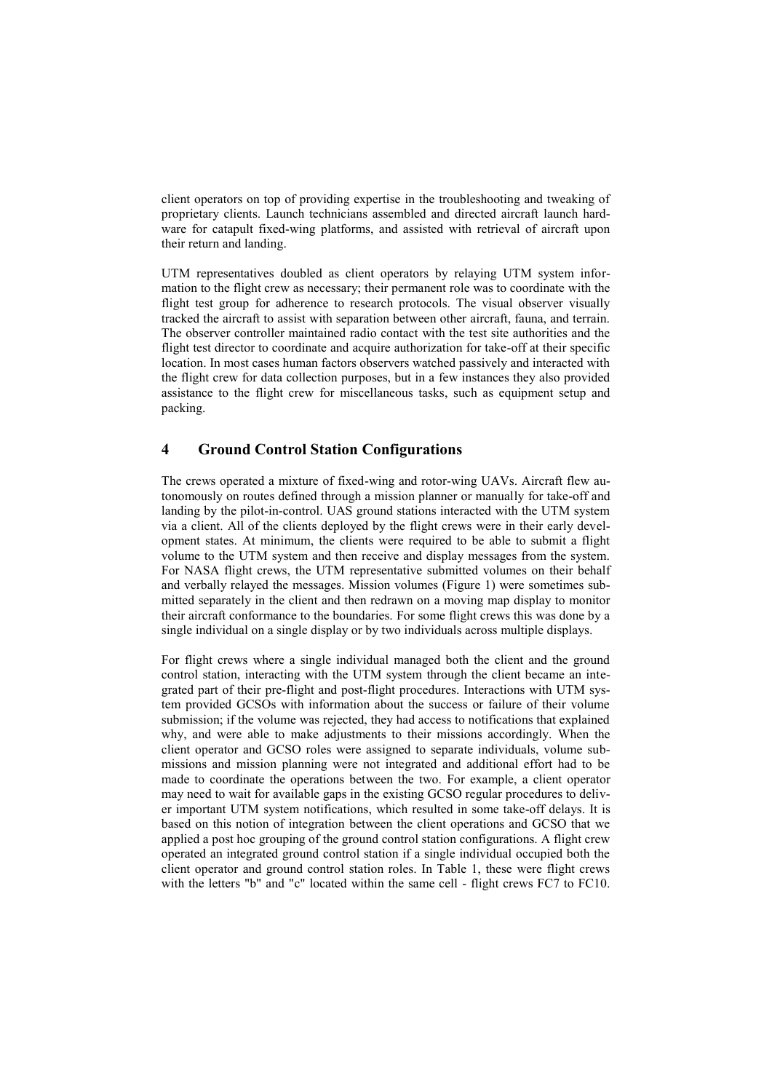client operators on top of providing expertise in the troubleshooting and tweaking of proprietary clients. Launch technicians assembled and directed aircraft launch hardware for catapult fixed-wing platforms, and assisted with retrieval of aircraft upon their return and landing.

UTM representatives doubled as client operators by relaying UTM system information to the flight crew as necessary; their permanent role was to coordinate with the flight test group for adherence to research protocols. The visual observer visually tracked the aircraft to assist with separation between other aircraft, fauna, and terrain. The observer controller maintained radio contact with the test site authorities and the flight test director to coordinate and acquire authorization for take-off at their specific location. In most cases human factors observers watched passively and interacted with the flight crew for data collection purposes, but in a few instances they also provided assistance to the flight crew for miscellaneous tasks, such as equipment setup and packing.

# **4 Ground Control Station Configurations**

The crews operated a mixture of fixed-wing and rotor-wing UAVs. Aircraft flew autonomously on routes defined through a mission planner or manually for take-off and landing by the pilot-in-control. UAS ground stations interacted with the UTM system via a client. All of the clients deployed by the flight crews were in their early development states. At minimum, the clients were required to be able to submit a flight volume to the UTM system and then receive and display messages from the system. For NASA flight crews, the UTM representative submitted volumes on their behalf and verbally relayed the messages. Mission volumes (Figure 1) were sometimes submitted separately in the client and then redrawn on a moving map display to monitor their aircraft conformance to the boundaries. For some flight crews this was done by a single individual on a single display or by two individuals across multiple displays.

For flight crews where a single individual managed both the client and the ground control station, interacting with the UTM system through the client became an integrated part of their pre-flight and post-flight procedures. Interactions with UTM system provided GCSOs with information about the success or failure of their volume submission; if the volume was rejected, they had access to notifications that explained why, and were able to make adjustments to their missions accordingly. When the client operator and GCSO roles were assigned to separate individuals, volume submissions and mission planning were not integrated and additional effort had to be made to coordinate the operations between the two. For example, a client operator may need to wait for available gaps in the existing GCSO regular procedures to deliver important UTM system notifications, which resulted in some take-off delays. It is based on this notion of integration between the client operations and GCSO that we applied a post hoc grouping of the ground control station configurations. A flight crew operated an integrated ground control station if a single individual occupied both the client operator and ground control station roles. In Table 1, these were flight crews with the letters "b" and "c" located within the same cell - flight crews FC7 to FC10.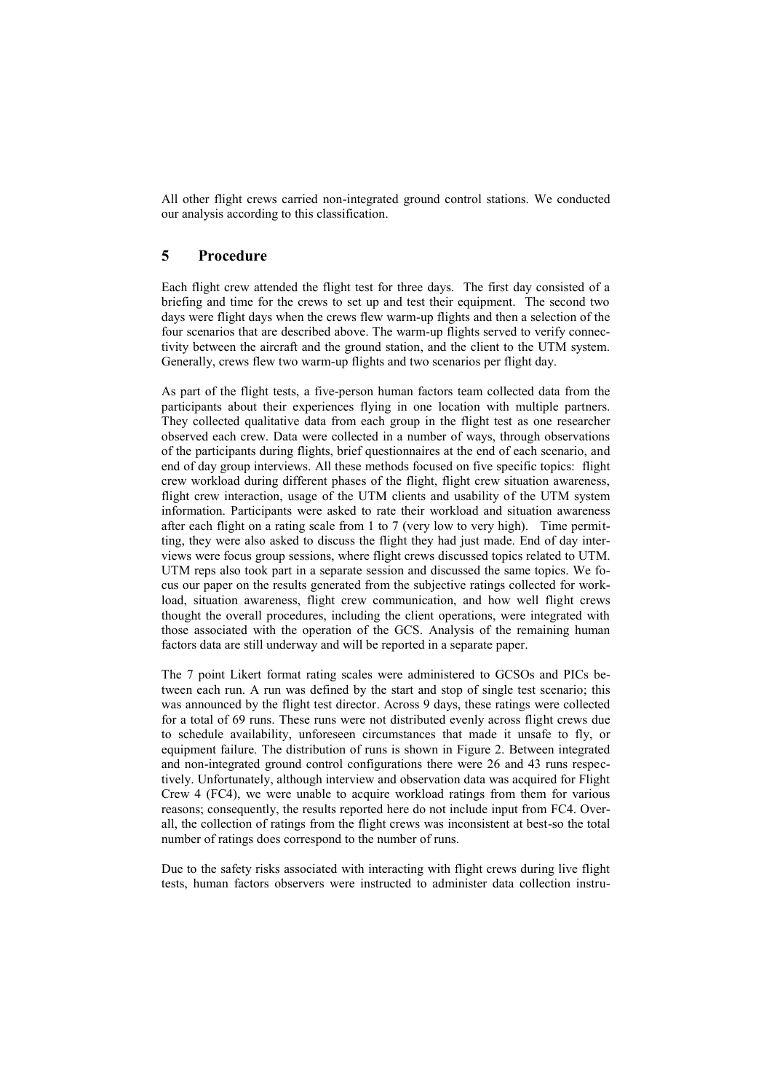All other flight crews carried non-integrated ground control stations. We conducted our analysis according to this classification.

### **5 Procedure**

Each flight crew attended the flight test for three days. The first day consisted of a briefing and time for the crews to set up and test their equipment. The second two days were flight days when the crews flew warm-up flights and then a selection of the four scenarios that are described above. The warm-up flights served to verify connectivity between the aircraft and the ground station, and the client to the UTM system. Generally, crews flew two warm-up flights and two scenarios per flight day.

As part of the flight tests, a five-person human factors team collected data from the participants about their experiences flying in one location with multiple partners. They collected qualitative data from each group in the flight test as one researcher observed each crew. Data were collected in a number of ways, through observations of the participants during flights, brief questionnaires at the end of each scenario, and end of day group interviews. All these methods focused on five specific topics: flight crew workload during different phases of the flight, flight crew situation awareness, flight crew interaction, usage of the UTM clients and usability of the UTM system information. Participants were asked to rate their workload and situation awareness after each flight on a rating scale from 1 to 7 (very low to very high). Time permitting, they were also asked to discuss the flight they had just made. End of day interviews were focus group sessions, where flight crews discussed topics related to UTM. UTM reps also took part in a separate session and discussed the same topics. We focus our paper on the results generated from the subjective ratings collected for workload, situation awareness, flight crew communication, and how well flight crews thought the overall procedures, including the client operations, were integrated with those associated with the operation of the GCS. Analysis of the remaining human factors data are still underway and will be reported in a separate paper.

The 7 point Likert format rating scales were administered to GCSOs and PICs between each run. A run was defined by the start and stop of single test scenario; this was announced by the flight test director. Across 9 days, these ratings were collected for a total of 69 runs. These runs were not distributed evenly across flight crews due to schedule availability, unforeseen circumstances that made it unsafe to fly, or equipment failure. The distribution of runs is shown in Figure 2. Between integrated and non-integrated ground control configurations there were 26 and 43 runs respectively. Unfortunately, although interview and observation data was acquired for Flight Crew 4 (FC4), we were unable to acquire workload ratings from them for various reasons; consequently, the results reported here do not include input from FC4. Overall, the collection of ratings from the flight crews was inconsistent at best-so the total number of ratings does correspond to the number of runs.

Due to the safety risks associated with interacting with flight crews during live flight tests, human factors observers were instructed to administer data collection instru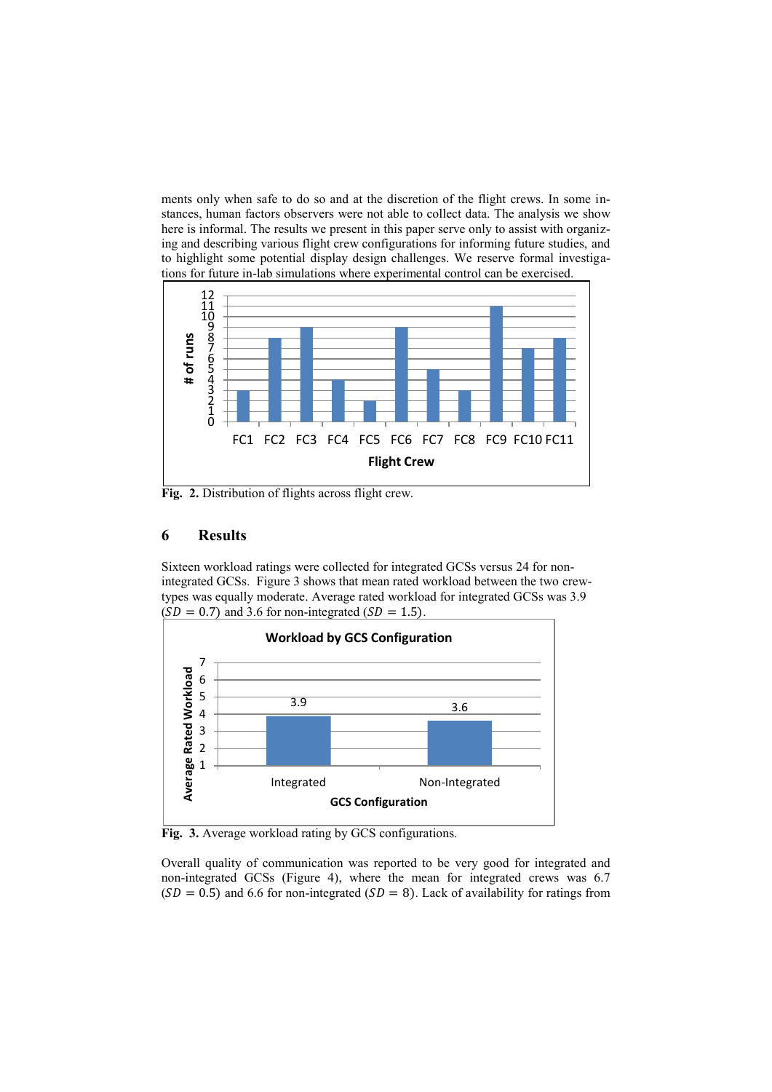ments only when safe to do so and at the discretion of the flight crews. In some instances, human factors observers were not able to collect data. The analysis we show here is informal. The results we present in this paper serve only to assist with organizing and describing various flight crew configurations for informing future studies, and to highlight some potential display design challenges. We reserve formal investigations for future in-lab simulations where experimental control can be exercised.



Fig. 2. Distribution of flights across flight crew.

#### **6 Results**

Sixteen workload ratings were collected for integrated GCSs versus 24 for nonintegrated GCSs. Figure 3 shows that mean rated workload between the two crewtypes was equally moderate. Average rated workload for integrated GCSs was 3.9  $(SD = 0.7)$  and 3.6 for non-integrated  $(SD = 1.5)$ .



**Fig. 3.** Average workload rating by GCS configurations.

Overall quality of communication was reported to be very good for integrated and non-integrated GCSs (Figure 4), where the mean for integrated crews was 6.7  $(SD = 0.5)$  and 6.6 for non-integrated  $(SD = 8)$ . Lack of availability for ratings from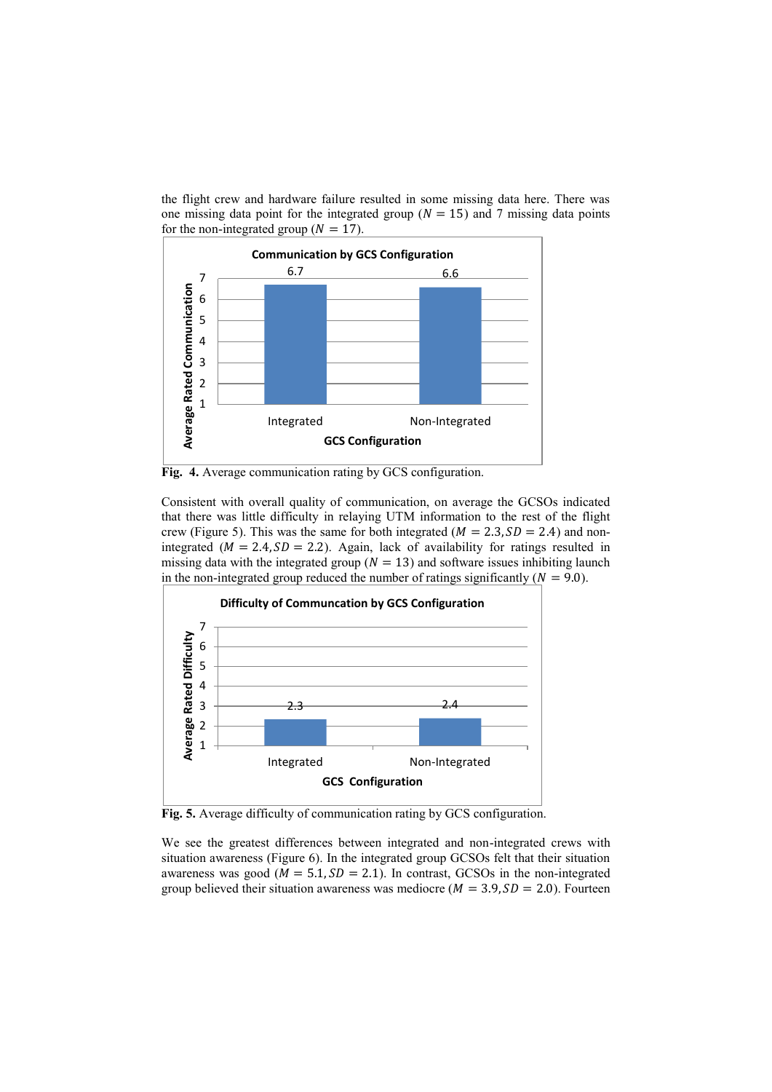the flight crew and hardware failure resulted in some missing data here. There was one missing data point for the integrated group ( $N = 15$ ) and 7 missing data points for the non-integrated group ( $N = 17$ ).



**Fig. 4.** Average communication rating by GCS configuration.

Consistent with overall quality of communication, on average the GCSOs indicated that there was little difficulty in relaying UTM information to the rest of the flight crew (Figure 5). This was the same for both integrated ( $M = 2.3$ ,  $SD = 2.4$ ) and nonintegrated ( $M = 2.4$ ,  $SD = 2.2$ ). Again, lack of availability for ratings resulted in missing data with the integrated group ( $N = 13$ ) and software issues inhibiting launch in the non-integrated group reduced the number of ratings significantly ( $N = 9.0$ ).



**Fig. 5.** Average difficulty of communication rating by GCS configuration.

We see the greatest differences between integrated and non-integrated crews with situation awareness (Figure 6). In the integrated group GCSOs felt that their situation awareness was good ( $M = 5.1$ ,  $SD = 2.1$ ). In contrast, GCSOs in the non-integrated group believed their situation awareness was mediocre ( $M = 3.9$ ,  $SD = 2.0$ ). Fourteen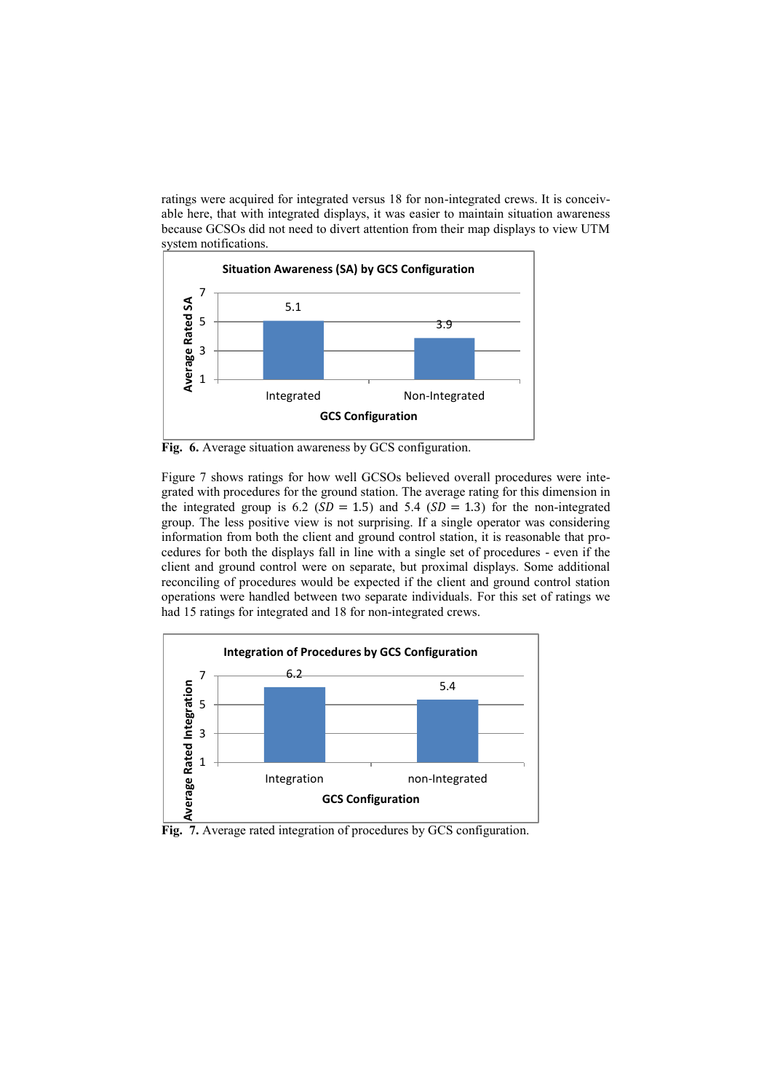ratings were acquired for integrated versus 18 for non-integrated crews. It is conceivable here, that with integrated displays, it was easier to maintain situation awareness because GCSOs did not need to divert attention from their map displays to view UTM system notifications.



**Fig. 6.** Average situation awareness by GCS configuration.

Figure 7 shows ratings for how well GCSOs believed overall procedures were integrated with procedures for the ground station. The average rating for this dimension in the integrated group is 6.2 ( $SD = 1.5$ ) and 5.4 ( $SD = 1.3$ ) for the non-integrated group. The less positive view is not surprising. If a single operator was considering information from both the client and ground control station, it is reasonable that procedures for both the displays fall in line with a single set of procedures - even if the client and ground control were on separate, but proximal displays. Some additional reconciling of procedures would be expected if the client and ground control station operations were handled between two separate individuals. For this set of ratings we had 15 ratings for integrated and 18 for non-integrated crews.



**Fig. 7.** Average rated integration of procedures by GCS configuration.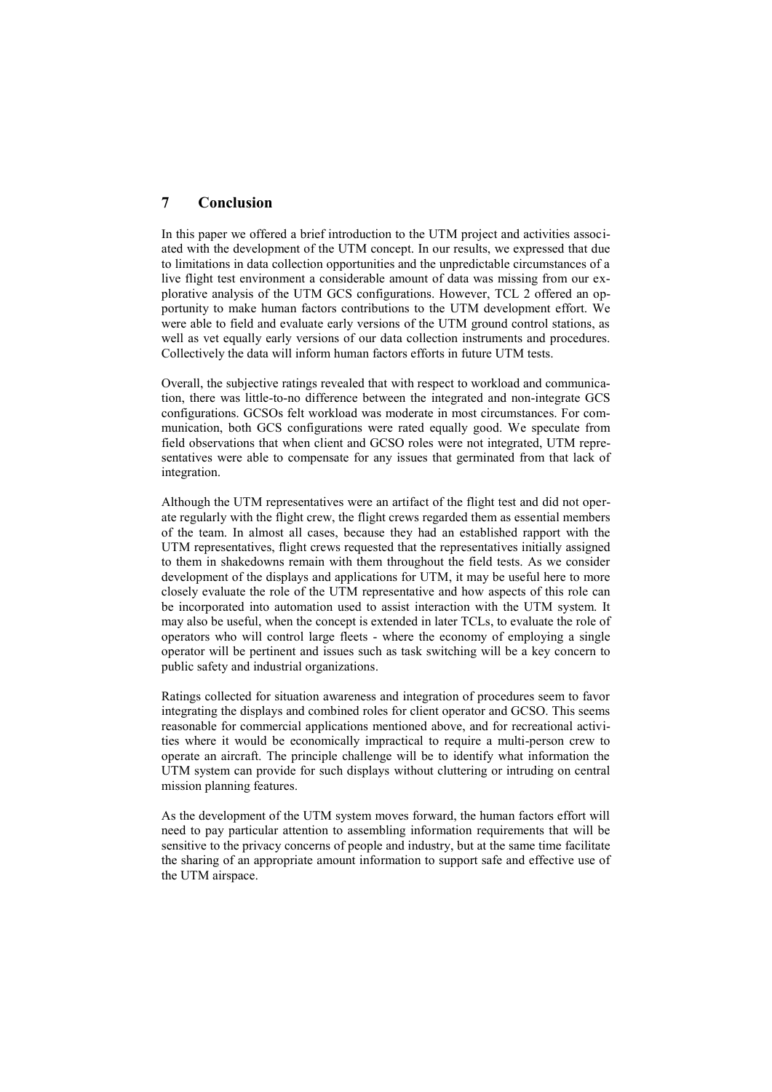# **7 Conclusion**

In this paper we offered a brief introduction to the UTM project and activities associated with the development of the UTM concept. In our results, we expressed that due to limitations in data collection opportunities and the unpredictable circumstances of a live flight test environment a considerable amount of data was missing from our explorative analysis of the UTM GCS configurations. However, TCL 2 offered an opportunity to make human factors contributions to the UTM development effort. We were able to field and evaluate early versions of the UTM ground control stations, as well as vet equally early versions of our data collection instruments and procedures. Collectively the data will inform human factors efforts in future UTM tests.

Overall, the subjective ratings revealed that with respect to workload and communication, there was little-to-no difference between the integrated and non-integrate GCS configurations. GCSOs felt workload was moderate in most circumstances. For communication, both GCS configurations were rated equally good. We speculate from field observations that when client and GCSO roles were not integrated, UTM representatives were able to compensate for any issues that germinated from that lack of integration.

Although the UTM representatives were an artifact of the flight test and did not operate regularly with the flight crew, the flight crews regarded them as essential members of the team. In almost all cases, because they had an established rapport with the UTM representatives, flight crews requested that the representatives initially assigned to them in shakedowns remain with them throughout the field tests. As we consider development of the displays and applications for UTM, it may be useful here to more closely evaluate the role of the UTM representative and how aspects of this role can be incorporated into automation used to assist interaction with the UTM system. It may also be useful, when the concept is extended in later TCLs, to evaluate the role of operators who will control large fleets - where the economy of employing a single operator will be pertinent and issues such as task switching will be a key concern to public safety and industrial organizations.

Ratings collected for situation awareness and integration of procedures seem to favor integrating the displays and combined roles for client operator and GCSO. This seems reasonable for commercial applications mentioned above, and for recreational activities where it would be economically impractical to require a multi-person crew to operate an aircraft. The principle challenge will be to identify what information the UTM system can provide for such displays without cluttering or intruding on central mission planning features.

As the development of the UTM system moves forward, the human factors effort will need to pay particular attention to assembling information requirements that will be sensitive to the privacy concerns of people and industry, but at the same time facilitate the sharing of an appropriate amount information to support safe and effective use of the UTM airspace.